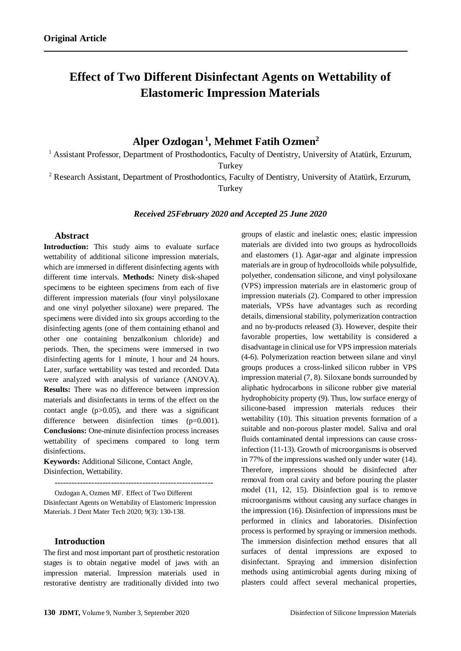# **Effect of Two Different Disinfectant Agents on Wettability of Elastomeric Impression Materials**

# **Alper Ozdogan <sup>1</sup> , Mehmet Fatih Ozmen<sup>2</sup>**

<sup>1</sup> Assistant Professor, Department of Prosthodontics, Faculty of Dentistry, University of Atatürk, Erzurum, Turkey

<sup>2</sup> Research Assistant, Department of Prosthodontics, Faculty of Dentistry, University of Atatürk, Erzurum, Turkey

#### *Received 25February 2020 and Accepted 25 June 2020*

## **Abstract**

**Introduction:** This study aims to evaluate surface wettability of additional silicone impression materials, which are immersed in different disinfecting agents with different time intervals. **Methods:** Ninety disk-shaped specimens to be eighteen specimens from each of five different impression materials (four vinyl polysiloxane and one vinyl polyether siloxane) were prepared. The specimens were divided into six groups according to the disinfecting agents (one of them containing ethanol and other one containing benzalkonium chloride) and periods. Then, the specimens were immersed in two disinfecting agents for 1 minute, 1 hour and 24 hours. Later, surface wettability was tested and recorded. Data were analyzed with analysis of variance (ANOVA). **Results:** There was no difference between impression materials and disinfectants in terms of the effect on the contact angle  $(p>0.05)$ , and there was a significant difference between disinfection times (p=0.001). **Conclusions:** One-minute disinfection process increases wettability of specimens compared to long term disinfections.

**Keywords:** Additional Silicone, Contact Angle, Disinfection, Wettability.

-------------------------------------------------------- Ozdogan A, Ozmen MF. Effect of Two Different Disinfectant Agents on Wettability of Elastomeric Impression Materials. J Dent Mater Tech 2020; 9(3): 130-138.

#### **Introduction**

The first and most important part of prosthetic restoration stages is to obtain negative model of jaws with an impression material. Impression materials used in restorative dentistry are traditionally divided into two

groups of elastic and inelastic ones; elastic impression materials are divided into two groups as hydrocolloids and elastomers (1). Agar-agar and alginate impression materials are in group of hydrocolloids while polysulfide, polyether, condensation silicone, and vinyl polysiloxane (VPS) impression materials are in elastomeric group of impression materials (2). Compared to other impression materials, VPSs have advantages such as recording details, dimensional stability, polymerization contraction and no by-products released (3). However, despite their favorable properties, low wettability is considered a disadvantage in clinical use for VPS impression materials (4-6). Polymerization reaction between silane and vinyl groups produces a cross-linked silicon rubber in VPS impression material (7, 8). Siloxane bonds surrounded by aliphatic hydrocarbons in silicone rubber give material hydrophobicity property (9). Thus, low surface energy of silicone-based impression materials reduces their wettability (10). This situation prevents formation of a suitable and non-porous plaster model. Saliva and oral fluids contaminated dental impressions can cause crossinfection (11-13). Growth of microorganisms is observed in 77% of the impressions washed only under water (14). Therefore, impressions should be disinfected after removal from oral cavity and before pouring the plaster model (11, 12, 15). Disinfection goal is to remove microorganisms without causing any surface changes in the impression (16). Disinfection of impressions must be performed in clinics and laboratories. Disinfection process is performed by spraying or immersion methods. The immersion disinfection method ensures that all surfaces of dental impressions are exposed to disinfectant. Spraying and immersion disinfection methods using antimicrobial agents during mixing of plasters could affect several mechanical properties,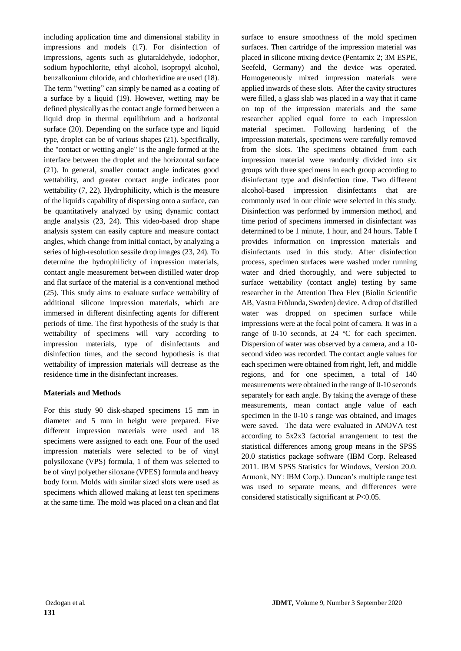including application time and dimensional stability in impressions and models (17). For disinfection of impressions, agents such as glutaraldehyde, iodophor, sodium hypochlorite, ethyl alcohol, isopropyl alcohol, benzalkonium chloride, and chlorhexidine are used (18). The term "wetting" can simply be named as a coating of a surface by a liquid (19). However, wetting may be defined physically as the contact angle formed between a liquid drop in thermal equilibrium and a horizontal surface (20). Depending on the surface type and liquid type, droplet can be of various shapes (21). Specifically, the "contact or wetting angle" is the angle formed at the interface between the droplet and the horizontal surface (21). In general, smaller contact angle indicates good wettability, and greater contact angle indicates poor wettability (7, 22). Hydrophilicity, which is the measure of the liquid's capability of dispersing onto a surface, can be quantitatively analyzed by using dynamic contact angle analysis (23, 24). This video-based drop shape analysis system can easily capture and measure contact angles, which change from initial contact, by analyzing a series of high-resolution sessile drop images (23, 24). To determine the hydrophilicity of impression materials, contact angle measurement between distilled water drop and flat surface of the material is a conventional method (25). This study aims to evaluate surface wettability of additional silicone impression materials, which are immersed in different disinfecting agents for different periods of time. The first hypothesis of the study is that wettability of specimens will vary according to impression materials, type of disinfectants and disinfection times, and the second hypothesis is that wettability of impression materials will decrease as the residence time in the disinfectant increases.

### **Materials and Methods**

For this study 90 disk-shaped specimens 15 mm in diameter and 5 mm in height were prepared. Five different impression materials were used and 18 specimens were assigned to each one. Four of the used impression materials were selected to be of vinyl polysiloxane (VPS) formula, 1 of them was selected to be of vinyl polyether siloxane (VPES) formula and heavy body form. Molds with similar sized slots were used as specimens which allowed making at least ten specimens at the same time. The mold was placed on a clean and flat surface to ensure smoothness of the mold specimen surfaces. Then cartridge of the impression material was placed in silicone mixing device (Pentamix 2; 3M ESPE, Seefeld, Germany) and the device was operated. Homogeneously mixed impression materials were applied inwards of these slots. After the cavity structures were filled, a glass slab was placed in a way that it came on top of the impression materials and the same researcher applied equal force to each impression material specimen. Following hardening of the impression materials, specimens were carefully removed from the slots. The specimens obtained from each impression material were randomly divided into six groups with three specimens in each group according to disinfectant type and disinfection time. Two different alcohol-based impression disinfectants that are commonly used in our clinic were selected in this study. Disinfection was performed by immersion method, and time period of specimens immersed in disinfectant was determined to be 1 minute, 1 hour, and 24 hours. Table I provides information on impression materials and disinfectants used in this study. After disinfection process, specimen surfaces were washed under running water and dried thoroughly, and were subjected to surface wettability (contact angle) testing by same researcher in the Attention Thea Flex (Biolin Scientific AB, Vastra Frölunda, Sweden) device. A drop of distilled water was dropped on specimen surface while impressions were at the focal point of camera. It was in a range of 0-10 seconds, at 24 °C for each specimen. Dispersion of water was observed by a camera, and a 10 second video was recorded. The contact angle values for each specimen were obtained from right, left, and middle regions, and for one specimen, a total of 140 measurements were obtained in the range of 0-10 seconds separately for each angle. By taking the average of these measurements, mean contact angle value of each specimen in the 0-10 s range was obtained, and images were saved. The data were evaluated in ANOVA test according to 5x2x3 factorial arrangement to test the statistical differences among group means in the SPSS 20.0 statistics package software (IBM Corp. Released 2011. IBM SPSS Statistics for Windows, Version 20.0. Armonk, NY: IBM Corp.). Duncan's multiple range test was used to separate means, and differences were considered statistically significant at *P*<0.05.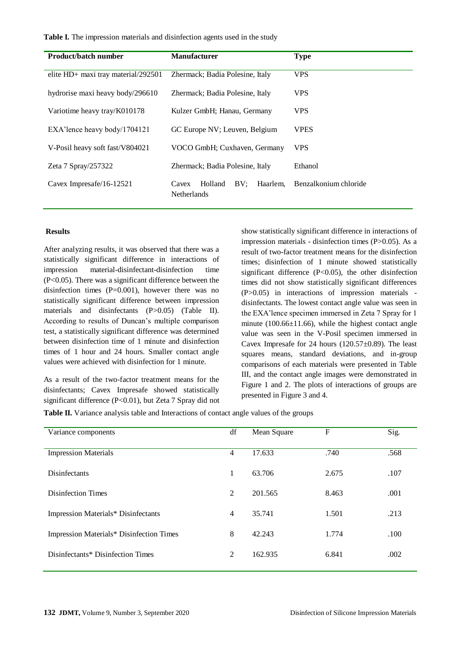**Table I.** The impression materials and disinfection agents used in the study

| Product/batch number                | <b>Manufacturer</b>                                       | <b>Type</b>           |
|-------------------------------------|-----------------------------------------------------------|-----------------------|
| elite HD+ maxi tray material/292501 | Zhermack; Badia Polesine, Italy                           | <b>VPS</b>            |
| hydrorise maxi heavy body/296610    | Zhermack; Badia Polesine, Italy                           | <b>VPS</b>            |
| Variotime heavy tray/K010178        | Kulzer GmbH; Hanau, Germany                               | <b>VPS</b>            |
| EXA'lence heavy body/1704121        | GC Europe NV; Leuven, Belgium                             | <b>VPES</b>           |
| V-Posil heavy soft fast/V804021     | VOCO GmbH; Cuxhaven, Germany                              | <b>VPS</b>            |
| Zeta $7 \text{ Spray}/257322$       | Zhermack; Badia Polesine, Italy                           | Ethanol               |
| Cavex Impresafe/16-12521            | BV:<br>Haarlem.<br>Holland<br>Cavex<br><b>Netherlands</b> | Benzalkonium chloride |

#### **Results**

After analyzing results, it was observed that there was a statistically significant difference in interactions of impression material-disinfectant-disinfection time (P<0.05). There was a significant difference between the disinfection times  $(P=0.001)$ , however there was no statistically significant difference between impression materials and disinfectants (P>0.05) (Table II). According to results of Duncan's multiple comparison test, a statistically significant difference was determined between disinfection time of 1 minute and disinfection times of 1 hour and 24 hours. Smaller contact angle values were achieved with disinfection for 1 minute.

As a result of the two-factor treatment means for the disinfectants; Cavex Impresafe showed statistically significant difference (P<0.01), but Zeta 7 Spray did not show statistically significant difference in interactions of impression materials - disinfection times (P>0.05). As a result of two-factor treatment means for the disinfection times; disinfection of 1 minute showed statistically significant difference (P<0.05), the other disinfection times did not show statistically significant differences (P>0.05) in interactions of impression materials disinfectants. The lowest contact angle value was seen in the EXA'lence specimen immersed in Zeta 7 Spray for 1 minute (100.66±11.66), while the highest contact angle value was seen in the V-Posil specimen immersed in Cavex Impresafe for 24 hours  $(120.57\pm0.89)$ . The least squares means, standard deviations, and in-group comparisons of each materials were presented in Table III, and the contact angle images were demonstrated in Figure 1 and 2. The plots of interactions of groups are presented in Figure 3 and 4.

**Table II.** Variance analysis table and Interactions of contact angle values of the groups

| Variance components                        | df             | Mean Square | $\mathbf F$ | Sig. |
|--------------------------------------------|----------------|-------------|-------------|------|
| <b>Impression Materials</b>                | $\overline{4}$ | 17.633      | .740        | .568 |
| Disinfectants                              | 1              | 63.706      | 2.675       | .107 |
| Disinfection Times                         | 2              | 201.565     | 8.463       | .001 |
| <b>Impression Materials* Disinfectants</b> | $\overline{4}$ | 35.741      | 1.501       | .213 |
| Impression Materials* Disinfection Times   | 8              | 42.243      | 1.774       | .100 |
| Disinfectants* Disinfection Times          | 2              | 162.935     | 6.841       | .002 |
|                                            |                |             |             |      |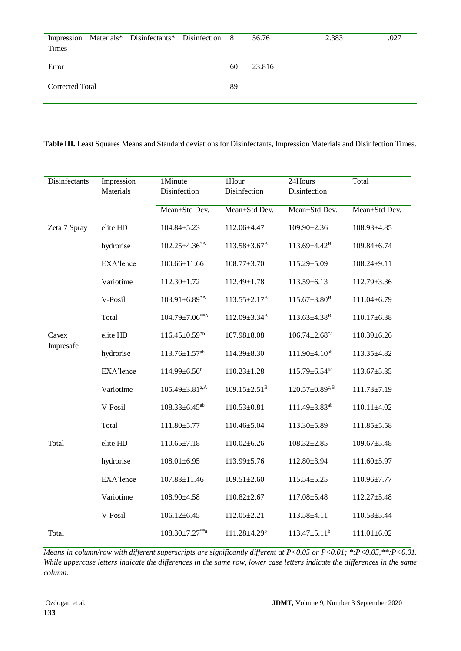| Impression<br>Times | Materials* Disinfectants* Disinfection 8 |    | 56.761 | 2.383 | .027 |
|---------------------|------------------------------------------|----|--------|-------|------|
| Error               |                                          | 60 | 23.816 |       |      |
| Corrected Total     |                                          | 89 |        |       |      |

**Table III.** Least Squares Means and Standard deviations for Disinfectants, Impression Materials and Disinfection Times.

| Disinfectants      | Impression<br>Materials | 1Minute<br>Disinfection         | 1Hour<br>Disinfection          | 24Hours<br>Disinfection | Total             |
|--------------------|-------------------------|---------------------------------|--------------------------------|-------------------------|-------------------|
|                    |                         | Mean±Std Dev.                   | Mean±Std Dev.                  | Mean±Std Dev.           | Mean±Std Dev.     |
| Zeta 7 Spray       | elite HD                | $104.84 \pm 5.23$               | 112.06±4.47                    | $109.90 \pm 2.36$       | $108.93 \pm 4.85$ |
|                    | hydrorise               | $102.25 \pm 4.36^{\ast}$ A      | $113.58 \pm 3.67^B$            | $113.69{\pm}4.42^{B}$   | $109.84 \pm 6.74$ |
|                    | EXA'lence               | $100.66 \pm 11.66$              | $108.77 \pm 3.70$              | $115.29 \pm 5.09$       | $108.24 \pm 9.11$ |
|                    | Variotime               | $112.30 \pm 1.72$               | 112.49±1.78                    | $113.59 \pm 6.13$       | $112.79 \pm 3.36$ |
|                    | V-Posil                 | $103.91 \pm 6.89^{\ast}$ A      | $113.55 \pm 2.17$ <sup>B</sup> | $115.67 \pm 3.80^B$     | $111.04 \pm 6.79$ |
|                    | Total                   | $104.79 \pm 7.06^{\ast\ast A}$  | $112.09 \pm 3.34$ <sup>B</sup> | $113.63{\pm}4.38^{B}$   | $110.17 \pm 6.38$ |
| Cavex<br>Impresafe | elite HD                | $116.45 \pm 0.59^{*b}$          | $107.98 \pm 8.08$              | $106.74 \pm 2.68$ *a    | $110.39 \pm 6.26$ |
|                    | hydrorise               | $113.76 \pm 1.57$ <sup>ab</sup> | 114.39±8.30                    | $111.90 \pm 4.10^{ab}$  | 113.35±4.82       |
|                    | EXA'lence               | $114.99 \pm 6.56^b$             | $110.23 \pm 1.28$              | $115.79 \pm 6.54$ bc    | $113.67 \pm 5.35$ |
|                    | Variotime               | $105.49 \pm 3.81^{\text{a,A}}$  | $109.15 \pm 2.51^B$            | $120.57 \pm 0.89^{c,B}$ | $111.73 \pm 7.19$ |
|                    | V-Posil                 | $108.33 \pm 6.45^{ab}$          | $110.53 \pm 0.81$              | $111.49 \pm 3.83^{ab}$  | $110.11 \pm 4.02$ |
|                    | Total                   | $111.80 \pm 5.77$               | 110.46±5.04                    | 113.30±5.89             | $111.85 \pm 5.58$ |
| Total              | elite HD                | $110.65 \pm 7.18$               | $110.02 \pm 6.26$              | $108.32 \pm 2.85$       | $109.67 \pm 5.48$ |
|                    | hydrorise               | $108.01 \pm 6.95$               | 113.99±5.76                    | 112.80±3.94             | $111.60 \pm 5.97$ |
|                    | EXA'lence               | $107.83 \pm 11.46$              | $109.51 \pm 2.60$              | $115.54 \pm 5.25$       | 110.96±7.77       |
|                    | Variotime               | $108.90 \pm 4.58$               | $110.82{\pm}2.67$              | $117.08 \pm 5.48$       | $112.27 \pm 5.48$ |
|                    | V-Posil                 | $106.12 \pm 6.45$               | 112.05±2.21                    | 113.58±4.11             | $110.58 \pm 5.44$ |
| Total              |                         | $108.30 \pm 7.27***$            | 111.28±4.29 <sup>b</sup>       | $113.47 \pm 5.11^b$     | $111.01 \pm 6.02$ |

*Means in column/row with different superscripts are significantly different at P<0.05 or P<0.01; \*:P<0.05,\*\*:P<0.01. While uppercase letters indicate the differences in the same row, lower case letters indicate the differences in the same column.*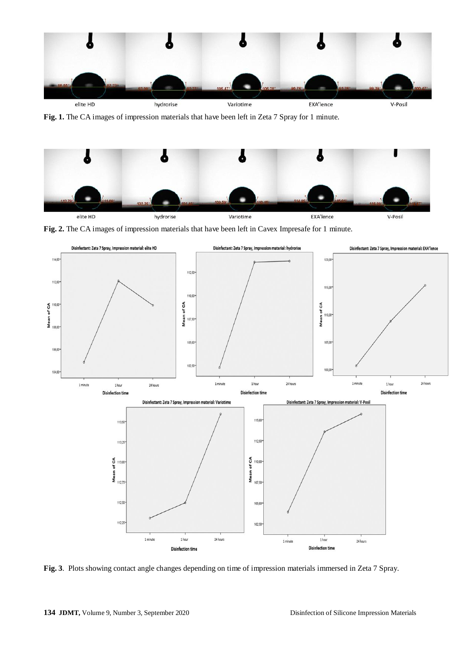

**Fig. 1.** The CA images of impression materials that have been left in Zeta 7 Spray for 1 minute.



**Fig. 2.** The CA images of impression materials that have been left in Cavex Impresafe for 1 minute.



**Fig. 3**. Plots showing contact angle changes depending on time of impression materials immersed in Zeta 7 Spray.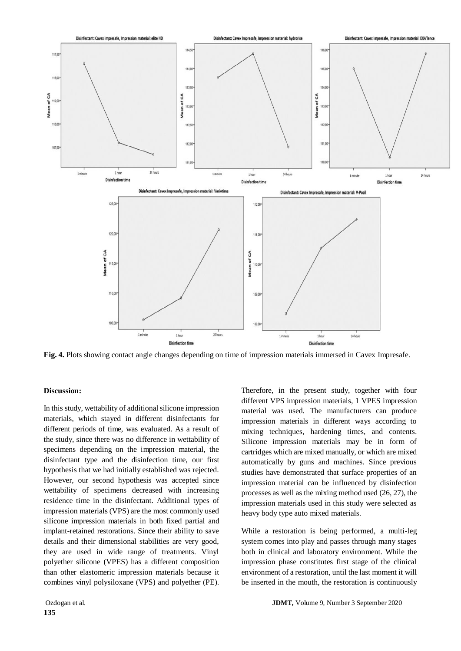

**Fig. 4.** Plots showing contact angle changes depending on time of impression materials immersed in Cavex Impresafe.

#### **Discussion:**

In this study, wettability of additional silicone impression materials, which stayed in different disinfectants for different periods of time, was evaluated. As a result of the study, since there was no difference in wettability of specimens depending on the impression material, the disinfectant type and the disinfection time, our first hypothesis that we had initially established was rejected. However, our second hypothesis was accepted since wettability of specimens decreased with increasing residence time in the disinfectant. Additional types of impression materials (VPS) are the most commonly used silicone impression materials in both fixed partial and implant-retained restorations. Since their ability to save details and their dimensional stabilities are very good, they are used in wide range of treatments. Vinyl polyether silicone (VPES) has a different composition than other elastomeric impression materials because it combines vinyl polysiloxane (VPS) and polyether (PE).

Therefore, in the present study, together with four different VPS impression materials, 1 VPES impression material was used. The manufacturers can produce impression materials in different ways according to mixing techniques, hardening times, and contents. Silicone impression materials may be in form of cartridges which are mixed manually, or which are mixed automatically by guns and machines. Since previous studies have demonstrated that surface properties of an impression material can be influenced by disinfection processes as well as the mixing method used (26, 27), the impression materials used in this study were selected as heavy body type auto mixed materials.

While a restoration is being performed, a multi-leg system comes into play and passes through many stages both in clinical and laboratory environment. While the impression phase constitutes first stage of the clinical environment of a restoration, until the last moment it will be inserted in the mouth, the restoration is continuously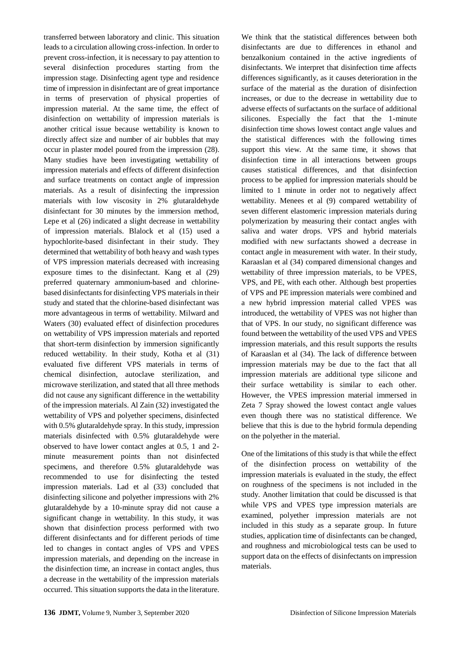transferred between laboratory and clinic. This situation leads to a circulation allowing cross-infection. In order to prevent cross-infection, it is necessary to pay attention to several disinfection procedures starting from the impression stage. Disinfecting agent type and residence time of impression in disinfectant are of great importance in terms of preservation of physical properties of impression material. At the same time, the effect of disinfection on wettability of impression materials is another critical issue because wettability is known to directly affect size and number of air bubbles that may occur in plaster model poured from the impression (28). Many studies have been investigating wettability of impression materials and effects of different disinfection and surface treatments on contact angle of impression materials. As a result of disinfecting the impression materials with low viscosity in 2% glutaraldehyde disinfectant for 30 minutes by the immersion method, Lepe et al (26) indicated a slight decrease in wettability of impression materials. Blalock et al (15) used a hypochlorite-based disinfectant in their study. They determined that wettability of both heavy and wash types of VPS impression materials decreased with increasing exposure times to the disinfectant. Kang et al (29) preferred quaternary ammonium-based and chlorinebased disinfectants for disinfecting VPS materials in their study and stated that the chlorine-based disinfectant was more advantageous in terms of wettability. Milward and Waters (30) evaluated effect of disinfection procedures on wettability of VPS impression materials and reported that short-term disinfection by immersion significantly reduced wettability. In their study, Kotha et al (31) evaluated five different VPS materials in terms of chemical disinfection, autoclave sterilization, and microwave sterilization, and stated that all three methods did not cause any significant difference in the wettability of the impression materials. Al Zain (32) investigated the wettability of VPS and polyether specimens, disinfected with 0.5% glutaraldehyde spray. In this study, impression materials disinfected with 0.5% glutaraldehyde were observed to have lower contact angles at 0.5, 1 and 2 minute measurement points than not disinfected specimens, and therefore 0.5% glutaraldehyde was recommended to use for disinfecting the tested impression materials. Lad et al (33) concluded that disinfecting silicone and polyether impressions with 2% glutaraldehyde by a 10-minute spray did not cause a significant change in wettability. In this study, it was shown that disinfection process performed with two different disinfectants and for different periods of time led to changes in contact angles of VPS and VPES impression materials, and depending on the increase in the disinfection time, an increase in contact angles, thus a decrease in the wettability of the impression materials occurred. This situation supports the data in the literature.

**136** JDMT, Volume 9, Number 3, September 2020 Disinfection of Silicone Impression Materials

We think that the statistical differences between both disinfectants are due to differences in ethanol and benzalkonium contained in the active ingredients of disinfectants. We interpret that disinfection time affects differences significantly, as it causes deterioration in the surface of the material as the duration of disinfection increases, or due to the decrease in wettability due to adverse effects of surfactants on the surface of additional silicones. Especially the fact that the 1-minute disinfection time shows lowest contact angle values and the statistical differences with the following times support this view. At the same time, it shows that disinfection time in all interactions between groups causes statistical differences, and that disinfection process to be applied for impression materials should be limited to 1 minute in order not to negatively affect wettability. Menees et al (9) compared wettability of seven different elastomeric impression materials during polymerization by measuring their contact angles with saliva and water drops. VPS and hybrid materials modified with new surfactants showed a decrease in contact angle in measurement with water. In their study, Karaaslan et al (34) compared dimensional changes and wettability of three impression materials, to be VPES, VPS, and PE, with each other. Although best properties of VPS and PE impression materials were combined and a new hybrid impression material called VPES was introduced, the wettability of VPES was not higher than that of VPS. In our study, no significant difference was found between the wettability of the used VPS and VPES impression materials, and this result supports the results of Karaaslan et al (34). The lack of difference between impression materials may be due to the fact that all impression materials are additional type silicone and their surface wettability is similar to each other. However, the VPES impression material immersed in Zeta 7 Spray showed the lowest contact angle values even though there was no statistical difference. We believe that this is due to the hybrid formula depending on the polyether in the material.

One of the limitations of this study is that while the effect of the disinfection process on wettability of the impression materials is evaluated in the study, the effect on roughness of the specimens is not included in the study. Another limitation that could be discussed is that while VPS and VPES type impression materials are examined, polyether impression materials are not included in this study as a separate group. In future studies, application time of disinfectants can be changed, and roughness and microbiological tests can be used to support data on the effects of disinfectants on impression materials.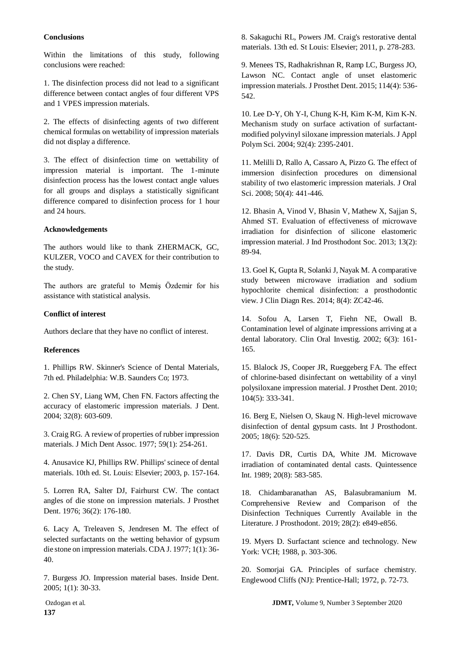#### **Conclusions**

Within the limitations of this study, following conclusions were reached:

1. The disinfection process did not lead to a significant difference between contact angles of four different VPS and 1 VPES impression materials.

2. The effects of disinfecting agents of two different chemical formulas on wettability of impression materials did not display a difference.

3. The effect of disinfection time on wettability of impression material is important. The 1-minute disinfection process has the lowest contact angle values for all groups and displays a statistically significant difference compared to disinfection process for 1 hour and 24 hours.

#### **Acknowledgements**

The authors would like to thank ZHERMACK, GC, KULZER, VOCO and CAVEX for their contribution to the study.

The authors are grateful to Memiş Özdemir for his assistance with statistical analysis.

#### **Conflict of interest**

Authors declare that they have no conflict of interest.

#### **References**

1. Phillips RW. Skinner's Science of Dental Materials, 7th ed. Philadelphia: W.B. Saunders Co; 1973.

2. Chen SY, Liang WM, Chen FN. Factors affecting the accuracy of elastomeric impression materials. J Dent. 2004; 32(8): 603-609.

3. Craig RG. A review of properties of rubber impression materials. J Mich Dent Assoc. 1977; 59(1): 254-261.

4. Anusavice KJ, Phillips RW. Phillips' scinece of dental materials. 10th ed. St. Louis: Elsevier; 2003, p. 157-164.

5. Lorren RA, Salter DJ, Fairhurst CW. The contact angles of die stone on impression materials. J Prosthet Dent. 1976; 36(2): 176-180.

6. Lacy A, Treleaven S, Jendresen M. The effect of selected surfactants on the wetting behavior of gypsum die stone on impression materials. CDA J. 1977; 1(1): 36- 40.

7. Burgess JO. Impression material bases. Inside Dent. 2005; 1(1): 30-33.

8. Sakaguchi RL, Powers JM. Craig's restorative dental materials. 13th ed. St Louis: Elsevier; 2011, p. 278-283.

9. Menees TS, Radhakrishnan R, Ramp LC, Burgess JO, Lawson NC. Contact angle of unset elastomeric impression materials. J Prosthet Dent. 2015; 114(4): 536- 542.

10. Lee D-Y, Oh Y-I, Chung K-H, Kim K-M, Kim K-N. Mechanism study on surface activation of surfactantmodified polyvinyl siloxane impression materials. J Appl Polym Sci. 2004; 92(4): 2395-2401.

11. Melilli D, Rallo A, Cassaro A, Pizzo G. The effect of immersion disinfection procedures on dimensional stability of two elastomeric impression materials. J Oral Sci. 2008; 50(4): 441-446.

12. Bhasin A, Vinod V, Bhasin V, Mathew X, Sajjan S, Ahmed ST. Evaluation of effectiveness of microwave irradiation for disinfection of silicone elastomeric impression material. J Ind Prosthodont Soc. 2013; 13(2): 89-94.

13. Goel K, Gupta R, Solanki J, Nayak M. A comparative study between microwave irradiation and sodium hypochlorite chemical disinfection: a prosthodontic view. J Clin Diagn Res. 2014; 8(4): ZC42-46.

14. Sofou A, Larsen T, Fiehn NE, Owall B. Contamination level of alginate impressions arriving at a dental laboratory. Clin Oral Investig. 2002; 6(3): 161- 165.

15. Blalock JS, Cooper JR, Rueggeberg FA. The effect of chlorine-based disinfectant on wettability of a vinyl polysiloxane impression material. J Prosthet Dent. 2010; 104(5): 333-341.

16. Berg E, Nielsen O, Skaug N. High-level microwave disinfection of dental gypsum casts. Int J Prosthodont. 2005; 18(6): 520-525.

17. Davis DR, Curtis DA, White JM. Microwave irradiation of contaminated dental casts. Quintessence Int. 1989; 20(8): 583-585.

18. Chidambaranathan AS, Balasubramanium M. Comprehensive Review and Comparison of the Disinfection Techniques Currently Available in the Literature. J Prosthodont. 2019; 28(2): e849-e856.

19. Myers D. Surfactant science and technology. New York: VCH; 1988, p. 303-306.

20. Somorjai GA. Principles of surface chemistry. Englewood Cliffs (NJ): Prentice-Hall; 1972, p. 72-73.

Ozdogan et al. **JDMT,** Volume 9, Number 3 September 2020

**137**